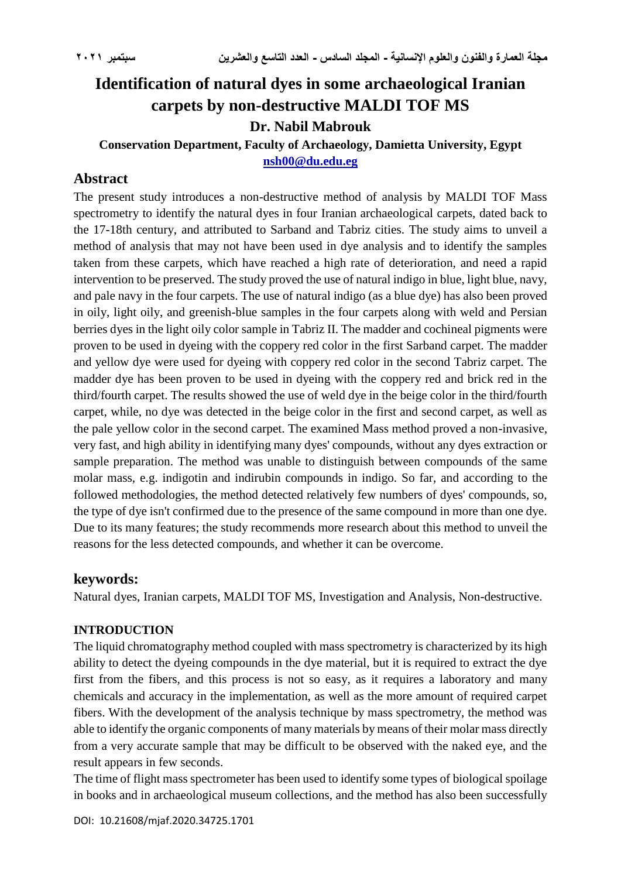# **Identification of natural dyes in some archaeological Iranian carpets by non-destructive MALDI TOF MS**

## **Dr. Nabil Mabrouk**

# **Conservation Department, Faculty of Archaeology, Damietta University, Egypt [nsh00@du.edu.eg](mailto:nsh00@du.edu.eg)**

# **Abstract**

The present study introduces a non-destructive method of analysis by MALDI TOF Mass spectrometry to identify the natural dyes in four Iranian archaeological carpets, dated back to the 17-18th century, and attributed to Sarband and Tabriz cities. The study aims to unveil a method of analysis that may not have been used in dye analysis and to identify the samples taken from these carpets, which have reached a high rate of deterioration, and need a rapid intervention to be preserved. The study proved the use of natural indigo in blue, light blue, navy, and pale navy in the four carpets. The use of natural indigo (as a blue dye) has also been proved in oily, light oily, and greenish-blue samples in the four carpets along with weld and Persian berries dyes in the light oily color sample in Tabriz II. The madder and cochineal pigments were proven to be used in dyeing with the coppery red color in the first Sarband carpet. The madder and yellow dye were used for dyeing with coppery red color in the second Tabriz carpet. The madder dye has been proven to be used in dyeing with the coppery red and brick red in the third/fourth carpet. The results showed the use of weld dye in the beige color in the third/fourth carpet, while, no dye was detected in the beige color in the first and second carpet, as well as the pale yellow color in the second carpet. The examined Mass method proved a non-invasive, very fast, and high ability in identifying many dyes' compounds, without any dyes extraction or sample preparation. The method was unable to distinguish between compounds of the same molar mass, e.g. indigotin and indirubin compounds in indigo. So far, and according to the followed methodologies, the method detected relatively few numbers of dyes' compounds, so, the type of dye isn't confirmed due to the presence of the same compound in more than one dye. Due to its many features; the study recommends more research about this method to unveil the reasons for the less detected compounds, and whether it can be overcome.

### **keywords:**

Natural dyes, Iranian carpets, MALDI TOF MS, Investigation and Analysis, Non-destructive.

#### **INTRODUCTION**

The liquid chromatography method coupled with mass spectrometry is characterized by its high ability to detect the dyeing compounds in the dye material, but it is required to extract the dye first from the fibers, and this process is not so easy, as it requires a laboratory and many chemicals and accuracy in the implementation, as well as the more amount of required carpet fibers. With the development of the analysis technique by mass spectrometry, the method was able to identify the organic components of many materials by means of their molar mass directly from a very accurate sample that may be difficult to be observed with the naked eye, and the result appears in few seconds.

The time of flight mass spectrometer has been used to identify some types of biological spoilage in books and in archaeological museum collections, and the method has also been successfully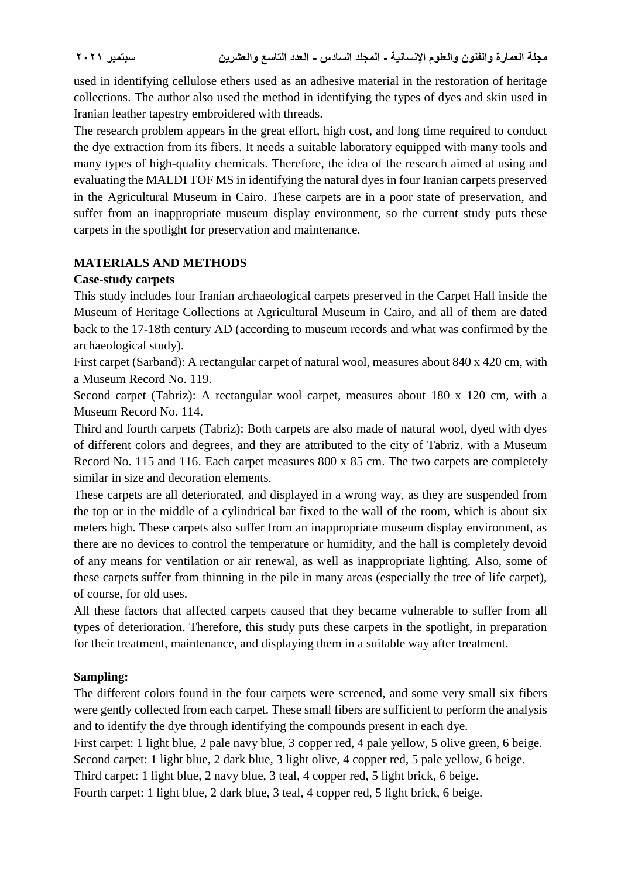used in identifying cellulose ethers used as an adhesive material in the restoration of heritage collections. The author also used the method in identifying the types of dyes and skin used in Iranian leather tapestry embroidered with threads.

The research problem appears in the great effort, high cost, and long time required to conduct the dye extraction from its fibers. It needs a suitable laboratory equipped with many tools and many types of high-quality chemicals. Therefore, the idea of the research aimed at using and evaluating the MALDI TOF MS in identifying the natural dyes in four Iranian carpets preserved in the Agricultural Museum in Cairo. These carpets are in a poor state of preservation, and suffer from an inappropriate museum display environment, so the current study puts these carpets in the spotlight for preservation and maintenance.

# **MATERIALS AND METHODS**

### **Case-study carpets**

This study includes four Iranian archaeological carpets preserved in the Carpet Hall inside the Museum of Heritage Collections at Agricultural Museum in Cairo, and all of them are dated back to the 17-18th century AD (according to museum records and what was confirmed by the archaeological study).

First carpet (Sarband): A rectangular carpet of natural wool, measures about 840 x 420 cm, with a Museum Record No. 119.

Second carpet (Tabriz): A rectangular wool carpet, measures about 180 x 120 cm, with a Museum Record No. 114.

Third and fourth carpets (Tabriz): Both carpets are also made of natural wool, dyed with dyes of different colors and degrees, and they are attributed to the city of Tabriz. with a Museum Record No. 115 and 116. Each carpet measures 800 x 85 cm. The two carpets are completely similar in size and decoration elements.

These carpets are all deteriorated, and displayed in a wrong way, as they are suspended from the top or in the middle of a cylindrical bar fixed to the wall of the room, which is about six meters high. These carpets also suffer from an inappropriate museum display environment, as there are no devices to control the temperature or humidity, and the hall is completely devoid of any means for ventilation or air renewal, as well as inappropriate lighting. Also, some of these carpets suffer from thinning in the pile in many areas (especially the tree of life carpet), of course, for old uses.

All these factors that affected carpets caused that they became vulnerable to suffer from all types of deterioration. Therefore, this study puts these carpets in the spotlight, in preparation for their treatment, maintenance, and displaying them in a suitable way after treatment.

### **Sampling:**

The different colors found in the four carpets were screened, and some very small six fibers were gently collected from each carpet. These small fibers are sufficient to perform the analysis and to identify the dye through identifying the compounds present in each dye.

First carpet: 1 light blue, 2 pale navy blue, 3 copper red, 4 pale yellow, 5 olive green, 6 beige.

Second carpet: 1 light blue, 2 dark blue, 3 light olive, 4 copper red, 5 pale yellow, 6 beige.

Third carpet: 1 light blue, 2 navy blue, 3 teal, 4 copper red, 5 light brick, 6 beige.

Fourth carpet: 1 light blue, 2 dark blue, 3 teal, 4 copper red, 5 light brick, 6 beige.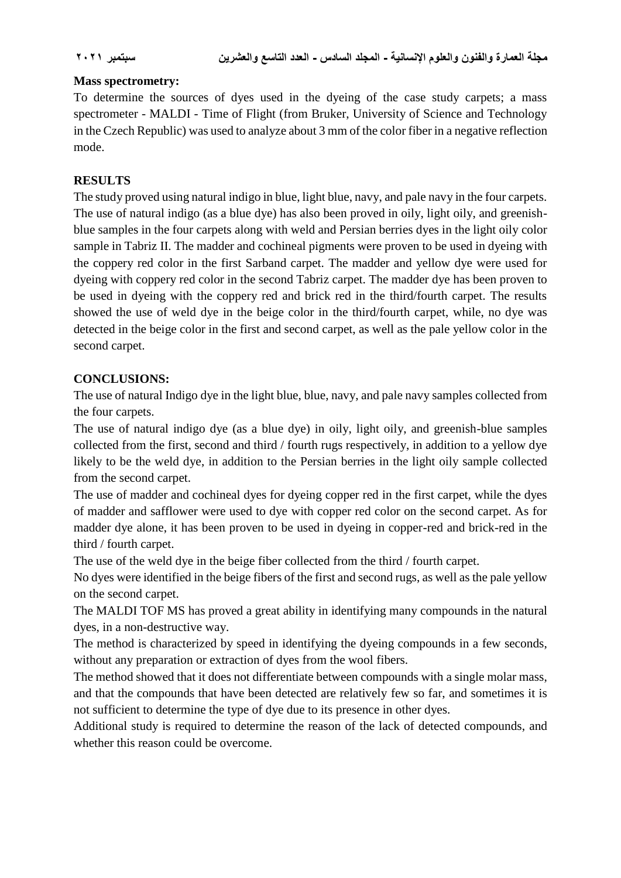### **Mass spectrometry:**

To determine the sources of dyes used in the dyeing of the case study carpets; a mass spectrometer - MALDI - Time of Flight (from Bruker, University of Science and Technology in the Czech Republic) was used to analyze about 3 mm of the color fiber in a negative reflection mode.

## **RESULTS**

The study proved using natural indigo in blue, light blue, navy, and pale navy in the four carpets. The use of natural indigo (as a blue dye) has also been proved in oily, light oily, and greenishblue samples in the four carpets along with weld and Persian berries dyes in the light oily color sample in Tabriz II. The madder and cochineal pigments were proven to be used in dyeing with the coppery red color in the first Sarband carpet. The madder and yellow dye were used for dyeing with coppery red color in the second Tabriz carpet. The madder dye has been proven to be used in dyeing with the coppery red and brick red in the third/fourth carpet. The results showed the use of weld dye in the beige color in the third/fourth carpet, while, no dye was detected in the beige color in the first and second carpet, as well as the pale yellow color in the second carpet.

### **CONCLUSIONS:**

The use of natural Indigo dye in the light blue, blue, navy, and pale navy samples collected from the four carpets.

The use of natural indigo dye (as a blue dye) in oily, light oily, and greenish-blue samples collected from the first, second and third / fourth rugs respectively, in addition to a yellow dye likely to be the weld dye, in addition to the Persian berries in the light oily sample collected from the second carpet.

The use of madder and cochineal dyes for dyeing copper red in the first carpet, while the dyes of madder and safflower were used to dye with copper red color on the second carpet. As for madder dye alone, it has been proven to be used in dyeing in copper-red and brick-red in the third / fourth carpet.

The use of the weld dye in the beige fiber collected from the third / fourth carpet.

No dyes were identified in the beige fibers of the first and second rugs, as well as the pale yellow on the second carpet.

The MALDI TOF MS has proved a great ability in identifying many compounds in the natural dyes, in a non-destructive way.

The method is characterized by speed in identifying the dyeing compounds in a few seconds, without any preparation or extraction of dyes from the wool fibers.

The method showed that it does not differentiate between compounds with a single molar mass, and that the compounds that have been detected are relatively few so far, and sometimes it is not sufficient to determine the type of dye due to its presence in other dyes.

Additional study is required to determine the reason of the lack of detected compounds, and whether this reason could be overcome.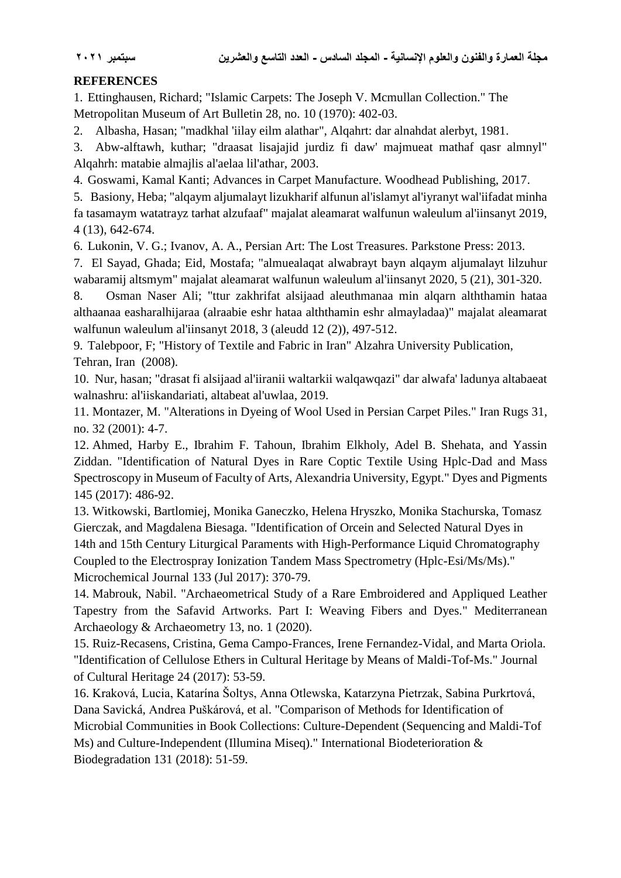# **REFERENCES**

1. Ettinghausen, Richard; "Islamic Carpets: The Joseph V. Mcmullan Collection." The Metropolitan Museum of Art Bulletin 28, no. 10 (1970): 402-03.

2. Albasha, Hasan; "madkhal 'iilay eilm alathar", Alqahrt: dar alnahdat alerbyt, 1981.

3. Abw-alftawh, kuthar; "draasat lisajajid jurdiz fi daw' majmueat mathaf qasr almnyl" Alqahrh: matabie almajlis al'aelaa lil'athar, 2003.

4. Goswami, Kamal Kanti; Advances in Carpet Manufacture. Woodhead Publishing, 2017.

5. Basiony, Heba; "alqaym aljumalayt lizukharif alfunun al'islamyt al'iyranyt wal'iifadat minha fa tasamaym watatrayz tarhat alzufaaf" majalat aleamarat walfunun waleulum al'iinsanyt 2019, 4 (13), 642-674.

6. Lukonin, V. G.; Ivanov, A. A., Persian Art: The Lost Treasures. Parkstone Press: 2013.

7. El Sayad, Ghada; Eid, Mostafa; "almuealaqat alwabrayt bayn alqaym aljumalayt lilzuhur wabaramij altsmym" majalat aleamarat walfunun waleulum al'iinsanyt 2020, 5 (21), 301-320.

8. Osman Naser Ali; "ttur zakhrifat alsijaad aleuthmanaa min alqarn alththamin hataa althaanaa easharalhijaraa (alraabie eshr hataa alththamin eshr almayladaa)" majalat aleamarat walfunun waleulum al'iinsanyt 2018, 3 (aleudd 12 (2)), 497-512.

9. Talebpoor, F; "History of Textile and Fabric in Iran" Alzahra University Publication, Tehran, Iran (2008).

10. Nur, hasan; "drasat fi alsijaad al'iiranii waltarkii walqawqazi" dar alwafa' ladunya altabaeat walnashru: al'iiskandariati, altabeat al'uwlaa, 2019.

11. Montazer, M. "Alterations in Dyeing of Wool Used in Persian Carpet Piles." Iran Rugs 31, no. 32 (2001): 4-7.

12. Ahmed, Harby E., Ibrahim F. Tahoun, Ibrahim Elkholy, Adel B. Shehata, and Yassin Ziddan. "Identification of Natural Dyes in Rare Coptic Textile Using Hplc-Dad and Mass Spectroscopy in Museum of Faculty of Arts, Alexandria University, Egypt." Dyes and Pigments 145 (2017): 486-92.

13. Witkowski, Bartlomiej, Monika Ganeczko, Helena Hryszko, Monika Stachurska, Tomasz Gierczak, and Magdalena Biesaga. "Identification of Orcein and Selected Natural Dyes in 14th and 15th Century Liturgical Paraments with High-Performance Liquid Chromatography Coupled to the Electrospray Ionization Tandem Mass Spectrometry (Hplc-Esi/Ms/Ms)."

Microchemical Journal 133 (Jul 2017): 370-79.

14. Mabrouk, Nabil. "Archaeometrical Study of a Rare Embroidered and Appliqued Leather Tapestry from the Safavid Artworks. Part I: Weaving Fibers and Dyes." Mediterranean Archaeology & Archaeometry 13, no. 1 (2020).

15. Ruiz-Recasens, Cristina, Gema Campo-Frances, Irene Fernandez-Vidal, and Marta Oriola. "Identification of Cellulose Ethers in Cultural Heritage by Means of Maldi-Tof-Ms." Journal of Cultural Heritage 24 (2017): 53-59.

16. Kraková, Lucia, Katarína Šoltys, Anna Otlewska, Katarzyna Pietrzak, Sabina Purkrtová, Dana Savická, Andrea Puškárová, et al. "Comparison of Methods for Identification of Microbial Communities in Book Collections: Culture-Dependent (Sequencing and Maldi-Tof Ms) and Culture-Independent (Illumina Miseq)." International Biodeterioration & Biodegradation 131 (2018): 51-59.